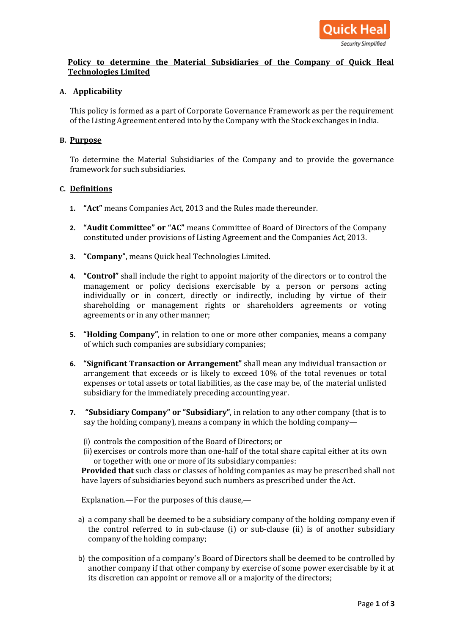

## **Policy to determine the Material Subsidiaries of the Company of Quick Heal Technologies Limited**

## **A. Applicability**

This policy is formed as a part of Corporate Governance Framework as per the requirement of the Listing Agreement entered into by the Company with the Stock exchanges in India.

### **B. Purpose**

To determine the Material Subsidiaries of the Company and to provide the governance framework for such subsidiaries.

## **C. Definitions**

- **1. "Act"** means Companies Act, 2013 and the Rules made thereunder.
- **2. "Audit Committee" or "AC"** means Committee of Board of Directors of the Company constituted under provisions of Listing Agreement and the Companies Act,2013.
- **3. "Company"**, means Quick heal Technologies Limited.
- **4. "Control"** shall include the right to appoint majority of the directors or to control the management or policy decisions exercisable by a person or persons acting individually or in concert, directly or indirectly, including by virtue of their shareholding or management rights or shareholders agreements or voting agreements or in any other manner;
- **5. "Holding Company"**, in relation to one or more other companies, means a company of which such companies are subsidiary companies;
- **6. "Significant Transaction or Arrangement"** shall mean any individual transaction or arrangement that exceeds or is likely to exceed 10% of the total revenues or total expenses or total assets or total liabilities, as the case may be, of the material unlisted subsidiary for the immediately preceding accounting year.
- **7. "Subsidiary Company" or "Subsidiary"**, in relation to any other company (that is to say the holding company), means a company in which the holding company—
	- (i) controls the composition of the Board of Directors; or
	- (ii) exercises or controls more than one-half of the total share capital either at its own or together with one or more of its subsidiary companies:

**Provided that** such class or classes of holding companies as may be prescribed shall not have layers of subsidiaries beyond such numbers as prescribed under the Act.

Explanation.—For the purposes of this clause,—

- a) a company shall be deemed to be a subsidiary company of the holding company even if the control referred to in sub-clause (i) or sub-clause (ii) is of another subsidiary company of the holding company;
- b) the composition of a company's Board of Directors shall be deemed to be controlled by another company if that other company by exercise of some power exercisable by it at its discretion can appoint or remove all or a majority of the directors;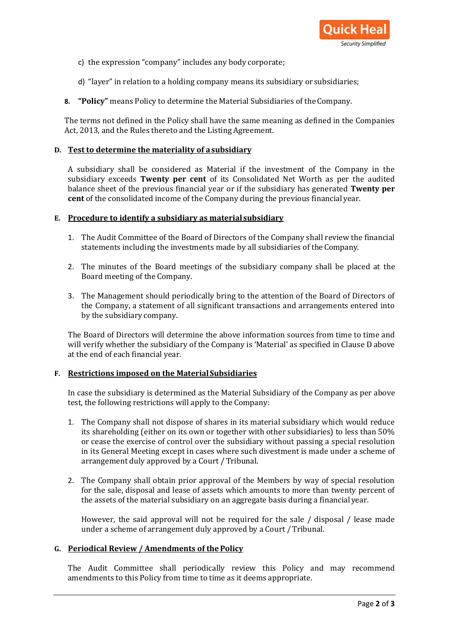

- c) the expression "company" includes any body corporate;
- d) "layer" in relation to a holding company means its subsidiary or subsidiaries;
- **8. "Policy"** means Policy to determine the Material Subsidiaries of the Company.

The terms not defined in the Policy shall have the same meaning as defined in the Companies Act, 2013, and the Rules thereto and the Listing Agreement.

## **D. Test to determine the materiality of asubsidiary**

A subsidiary shall be considered as Material if the investment of the Company in the subsidiary exceeds **Twenty per cent** of its Consolidated Net Worth as per the audited balance sheet of the previous financial year or if the subsidiary has generated **Twenty per cent** of the consolidated income of the Company during the previous financial year.

#### **E. Procedure to identify a subsidiary as material subsidiary**

- 1. The Audit Committee of the Board of Directors of the Company shall review the financial statements including the investments made by all subsidiaries of the Company.
- 2. The minutes of the Board meetings of the subsidiary company shall be placed at the Board meeting of the Company.
- 3. The Management should periodically bring to the attention of the Board of Directors of the Company, a statement of all significant transactions and arrangements entered into by the subsidiary company.

The Board of Directors will determine the above information sources from time to time and will verify whether the subsidiary of the Company is 'Material' as specified in Clause D above at the end of each financial year.

#### **F. Restrictions imposed on the MaterialSubsidiaries**

In case the subsidiary is determined as the Material Subsidiary of the Company as per above test, the following restrictions will apply to the Company:

- 1. The Company shall not dispose of shares in its material subsidiary which would reduce its shareholding (either on its own or together with other subsidiaries) to less than 50% or cease the exercise of control over the subsidiary without passing a special resolution in its General Meeting except in cases where such divestment is made under a scheme of arrangement duly approved by a Court / Tribunal.
- 2. The Company shall obtain prior approval of the Members by way of special resolution for the sale, disposal and lease of assets which amounts to more than twenty percent of the assets of the material subsidiary on an aggregate basis during a financialyear.

However, the said approval will not be required for the sale / disposal / lease made under a scheme of arrangement duly approved by a Court /Tribunal.

## **G. Periodical Review / Amendments of thePolicy**

The Audit Committee shall periodically review this Policy and may recommend amendments to this Policy from time to time as it deems appropriate.